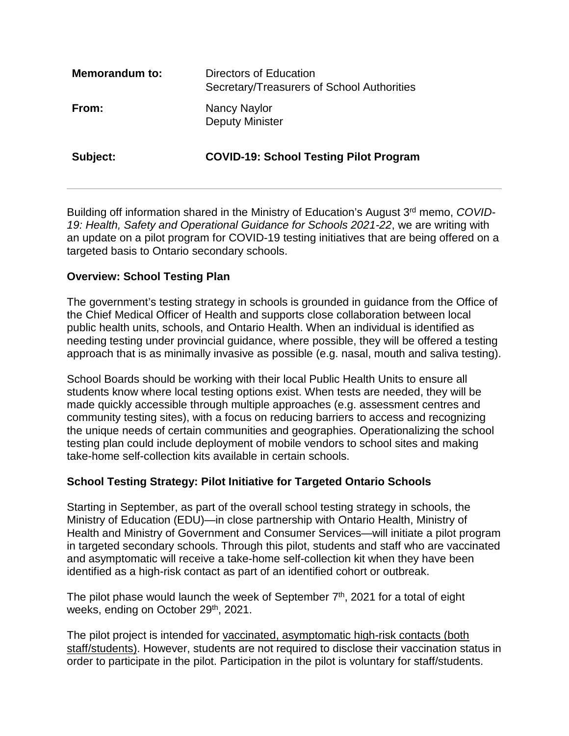| <b>Memorandum to:</b> | Directors of Education<br>Secretary/Treasurers of School Authorities |
|-----------------------|----------------------------------------------------------------------|
| From:                 | Nancy Naylor<br><b>Deputy Minister</b>                               |
| Subject:              | <b>COVID-19: School Testing Pilot Program</b>                        |

Building off information shared in the Ministry of Education's August 3rd memo, *COVID-19: Health, Safety and Operational Guidance for Schools 2021-22*, we are writing with an update on a pilot program for COVID-19 testing initiatives that are being offered on a targeted basis to Ontario secondary schools.

### **Overview: School Testing Plan**

The government's testing strategy in schools is grounded in guidance from the Office of the Chief Medical Officer of Health and supports close collaboration between local public health units, schools, and Ontario Health. When an individual is identified as needing testing under provincial guidance, where possible, they will be offered a testing approach that is as minimally invasive as possible (e.g. nasal, mouth and saliva testing).

School Boards should be working with their local Public Health Units to ensure all students know where local testing options exist. When tests are needed, they will be made quickly accessible through multiple approaches (e.g. assessment centres and community testing sites), with a focus on reducing barriers to access and recognizing the unique needs of certain communities and geographies. Operationalizing the school testing plan could include deployment of mobile vendors to school sites and making take-home self-collection kits available in certain schools.

### **School Testing Strategy: Pilot Initiative for Targeted Ontario Schools**

Starting in September, as part of the overall school testing strategy in schools, the Ministry of Education (EDU)—in close partnership with Ontario Health, Ministry of Health and Ministry of Government and Consumer Services—will initiate a pilot program in targeted secondary schools. Through this pilot, students and staff who are vaccinated and asymptomatic will receive a take-home self-collection kit when they have been identified as a high-risk contact as part of an identified cohort or outbreak.

The pilot phase would launch the week of September  $7<sup>th</sup>$ , 2021 for a total of eight weeks, ending on October 29<sup>th</sup>, 2021.

The pilot project is intended for vaccinated, asymptomatic high-risk contacts (both staff/students). However, students are not required to disclose their vaccination status in order to participate in the pilot. Participation in the pilot is voluntary for staff/students.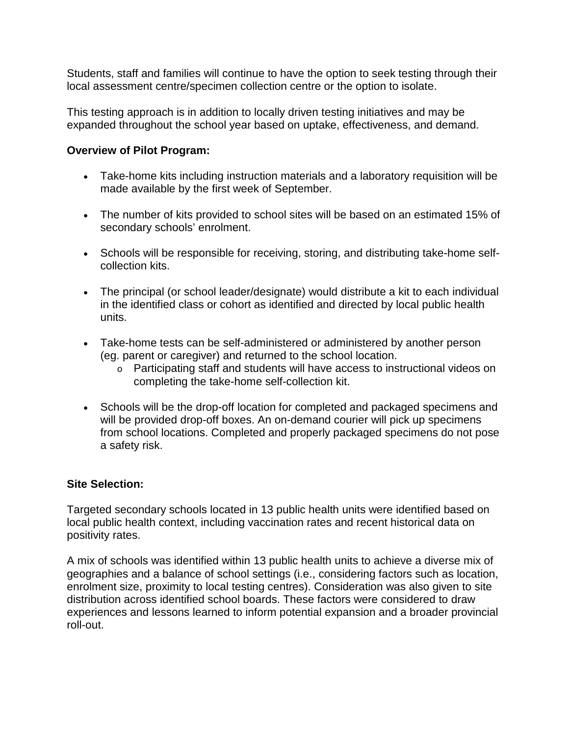Students, staff and families will continue to have the option to seek testing through their local assessment centre/specimen collection centre or the option to isolate.

This testing approach is in addition to locally driven testing initiatives and may be expanded throughout the school year based on uptake, effectiveness, and demand.

## **Overview of Pilot Program:**

- Take-home kits including instruction materials and a laboratory requisition will be made available by the first week of September.
- The number of kits provided to school sites will be based on an estimated 15% of secondary schools' enrolment.
- Schools will be responsible for receiving, storing, and distributing take-home selfcollection kits.
- The principal (or school leader/designate) would distribute a kit to each individual in the identified class or cohort as identified and directed by local public health units.
- Take-home tests can be self-administered or administered by another person (eg. parent or caregiver) and returned to the school location.
	- o Participating staff and students will have access to instructional videos on completing the take-home self-collection kit.
- Schools will be the drop-off location for completed and packaged specimens and will be provided drop-off boxes. An on-demand courier will pick up specimens from school locations. Completed and properly packaged specimens do not pose a safety risk.

### **Site Selection:**

Targeted secondary schools located in 13 public health units were identified based on local public health context, including vaccination rates and recent historical data on positivity rates.

A mix of schools was identified within 13 public health units to achieve a diverse mix of geographies and a balance of school settings (i.e., considering factors such as location, enrolment size, proximity to local testing centres). Consideration was also given to site distribution across identified school boards. These factors were considered to draw experiences and lessons learned to inform potential expansion and a broader provincial roll-out.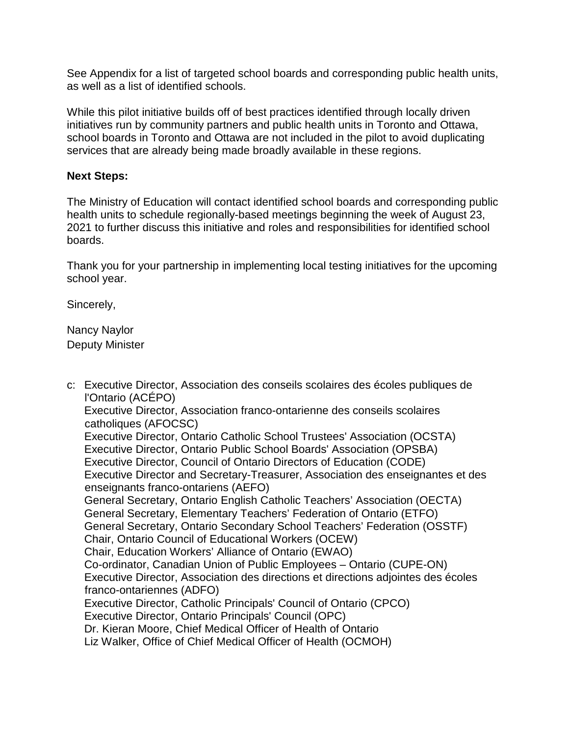See Appendix for a list of targeted school boards and corresponding public health units, as well as a list of identified schools.

While this pilot initiative builds off of best practices identified through locally driven initiatives run by community partners and public health units in Toronto and Ottawa, school boards in Toronto and Ottawa are not included in the pilot to avoid duplicating services that are already being made broadly available in these regions.

### **Next Steps:**

The Ministry of Education will contact identified school boards and corresponding public health units to schedule regionally-based meetings beginning the week of August 23, 2021 to further discuss this initiative and roles and responsibilities for identified school boards.

Thank you for your partnership in implementing local testing initiatives for the upcoming school year.

Sincerely,

Nancy Naylor Deputy Minister

c: Executive Director, Association des conseils scolaires des écoles publiques de l'Ontario (ACÉPO) Executive Director, Association franco-ontarienne des conseils scolaires catholiques (AFOCSC) Executive Director, Ontario Catholic School Trustees' Association (OCSTA) Executive Director, Ontario Public School Boards' Association (OPSBA) Executive Director, Council of Ontario Directors of Education (CODE) Executive Director and Secretary-Treasurer, Association des enseignantes et des enseignants franco-ontariens (AEFO) General Secretary, Ontario English Catholic Teachers' Association (OECTA) General Secretary, Elementary Teachers' Federation of Ontario (ETFO) General Secretary, Ontario Secondary School Teachers' Federation (OSSTF) Chair, Ontario Council of Educational Workers (OCEW) Chair, Education Workers' Alliance of Ontario (EWAO) Co-ordinator, Canadian Union of Public Employees – Ontario (CUPE-ON) Executive Director, Association des directions et directions adjointes des écoles franco-ontariennes (ADFO) Executive Director, Catholic Principals' Council of Ontario (CPCO) Executive Director, Ontario Principals' Council (OPC) Dr. Kieran Moore, Chief Medical Officer of Health of Ontario Liz Walker, Office of Chief Medical Officer of Health (OCMOH)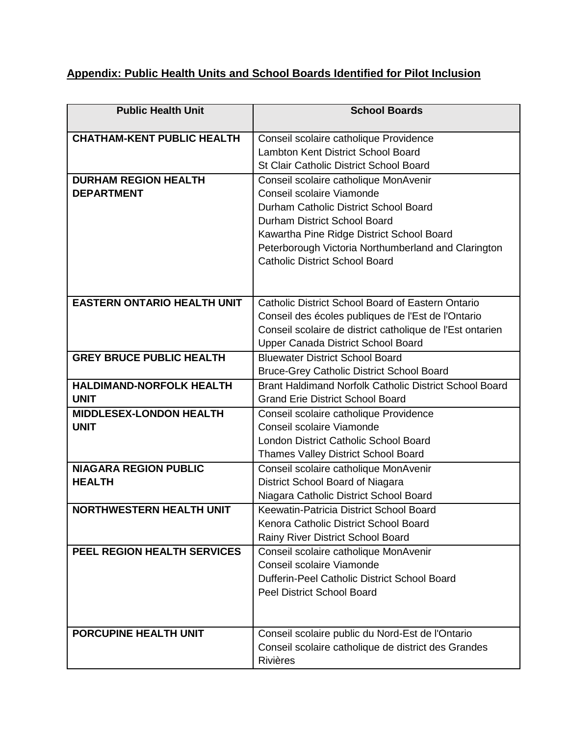# **Appendix: Public Health Units and School Boards Identified for Pilot Inclusion**

| <b>Public Health Unit</b>          | <b>School Boards</b>                                          |
|------------------------------------|---------------------------------------------------------------|
|                                    |                                                               |
| <b>CHATHAM-KENT PUBLIC HEALTH</b>  | Conseil scolaire catholique Providence                        |
|                                    | <b>Lambton Kent District School Board</b>                     |
|                                    | <b>St Clair Catholic District School Board</b>                |
| <b>DURHAM REGION HEALTH</b>        | Conseil scolaire catholique MonAvenir                         |
| <b>DEPARTMENT</b>                  | Conseil scolaire Viamonde                                     |
|                                    | Durham Catholic District School Board                         |
|                                    | Durham District School Board                                  |
|                                    | Kawartha Pine Ridge District School Board                     |
|                                    | Peterborough Victoria Northumberland and Clarington           |
|                                    | <b>Catholic District School Board</b>                         |
|                                    |                                                               |
|                                    |                                                               |
| <b>EASTERN ONTARIO HEALTH UNIT</b> | Catholic District School Board of Eastern Ontario             |
|                                    | Conseil des écoles publiques de l'Est de l'Ontario            |
|                                    | Conseil scolaire de district catholique de l'Est ontarien     |
|                                    | Upper Canada District School Board                            |
| <b>GREY BRUCE PUBLIC HEALTH</b>    | <b>Bluewater District School Board</b>                        |
|                                    | <b>Bruce-Grey Catholic District School Board</b>              |
| <b>HALDIMAND-NORFOLK HEALTH</b>    | <b>Brant Haldimand Norfolk Catholic District School Board</b> |
| <b>UNIT</b>                        | <b>Grand Erie District School Board</b>                       |
| <b>MIDDLESEX-LONDON HEALTH</b>     | Conseil scolaire catholique Providence                        |
| <b>UNIT</b>                        | Conseil scolaire Viamonde                                     |
|                                    | London District Catholic School Board                         |
|                                    | <b>Thames Valley District School Board</b>                    |
| <b>NIAGARA REGION PUBLIC</b>       | Conseil scolaire catholique MonAvenir                         |
| <b>HEALTH</b>                      | District School Board of Niagara                              |
|                                    | Niagara Catholic District School Board                        |
| <b>NORTHWESTERN HEALTH UNIT</b>    | Keewatin-Patricia District School Board                       |
|                                    | Kenora Catholic District School Board                         |
|                                    | Rainy River District School Board                             |
| <b>PEEL REGION HEALTH SERVICES</b> | Conseil scolaire catholique MonAvenir                         |
|                                    | Conseil scolaire Viamonde                                     |
|                                    | Dufferin-Peel Catholic District School Board                  |
|                                    | Peel District School Board                                    |
|                                    |                                                               |
|                                    |                                                               |
| <b>PORCUPINE HEALTH UNIT</b>       | Conseil scolaire public du Nord-Est de l'Ontario              |
|                                    | Conseil scolaire catholique de district des Grandes           |
|                                    | <b>Rivières</b>                                               |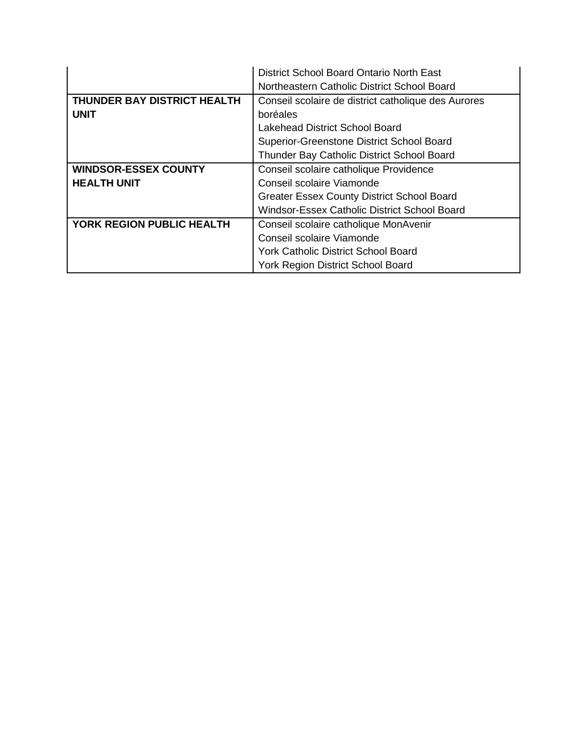|                                  | District School Board Ontario North East            |
|----------------------------------|-----------------------------------------------------|
|                                  | Northeastern Catholic District School Board         |
| THUNDER BAY DISTRICT HEALTH      | Conseil scolaire de district catholique des Aurores |
| <b>UNIT</b>                      | boréales                                            |
|                                  | <b>Lakehead District School Board</b>               |
|                                  | Superior-Greenstone District School Board           |
|                                  | Thunder Bay Catholic District School Board          |
| <b>WINDSOR-ESSEX COUNTY</b>      | Conseil scolaire catholique Providence              |
| <b>HEALTH UNIT</b>               | Conseil scolaire Viamonde                           |
|                                  | <b>Greater Essex County District School Board</b>   |
|                                  | Windsor-Essex Catholic District School Board        |
| <b>YORK REGION PUBLIC HEALTH</b> | Conseil scolaire catholique MonAvenir               |
|                                  | Conseil scolaire Viamonde                           |
|                                  | <b>York Catholic District School Board</b>          |
|                                  | York Region District School Board                   |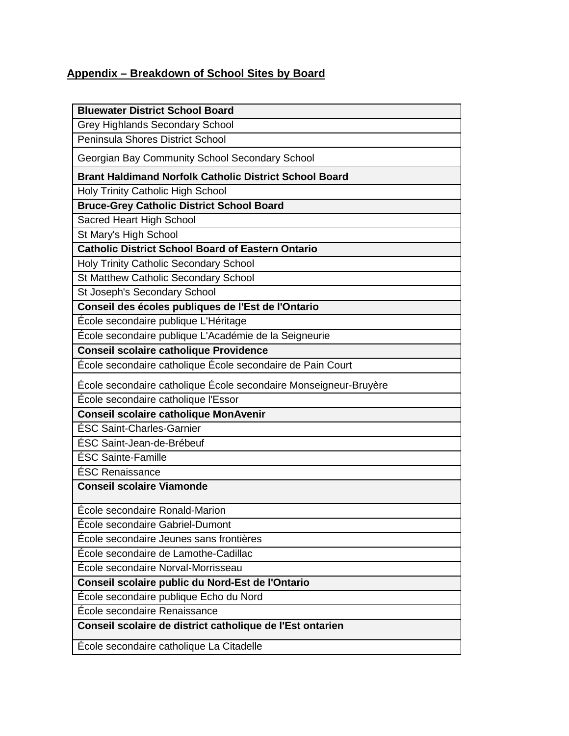# **Appendix – Breakdown of School Sites by Board**

| <b>Bluewater District School Board</b>                           |
|------------------------------------------------------------------|
| <b>Grey Highlands Secondary School</b>                           |
| <b>Peninsula Shores District School</b>                          |
| Georgian Bay Community School Secondary School                   |
| <b>Brant Haldimand Norfolk Catholic District School Board</b>    |
| Holy Trinity Catholic High School                                |
| <b>Bruce-Grey Catholic District School Board</b>                 |
| Sacred Heart High School                                         |
| St Mary's High School                                            |
| <b>Catholic District School Board of Eastern Ontario</b>         |
| <b>Holy Trinity Catholic Secondary School</b>                    |
| St Matthew Catholic Secondary School                             |
| St Joseph's Secondary School                                     |
| Conseil des écoles publiques de l'Est de l'Ontario               |
| École secondaire publique L'Héritage                             |
| École secondaire publique L'Académie de la Seigneurie            |
| <b>Conseil scolaire catholique Providence</b>                    |
| École secondaire catholique École secondaire de Pain Court       |
| École secondaire catholique École secondaire Monseigneur-Bruyère |
| École secondaire catholique l'Essor                              |
| <b>Conseil scolaire catholique MonAvenir</b>                     |
| <b>ÉSC Saint-Charles-Garnier</b>                                 |
| ÉSC Saint-Jean-de-Brébeuf                                        |
| ÉSC Sainte-Famille                                               |
| ÉSC Renaissance                                                  |
| <b>Conseil scolaire Viamonde</b>                                 |
| École secondaire Ronald-Marion                                   |
| École secondaire Gabriel-Dumont                                  |
| École secondaire Jeunes sans frontières                          |
| École secondaire de Lamothe-Cadillac                             |
| École secondaire Norval-Morrisseau                               |
| Conseil scolaire public du Nord-Est de l'Ontario                 |
| Ecole secondaire publique Echo du Nord                           |
| École secondaire Renaissance                                     |
| Conseil scolaire de district catholique de l'Est ontarien        |
| École secondaire catholique La Citadelle                         |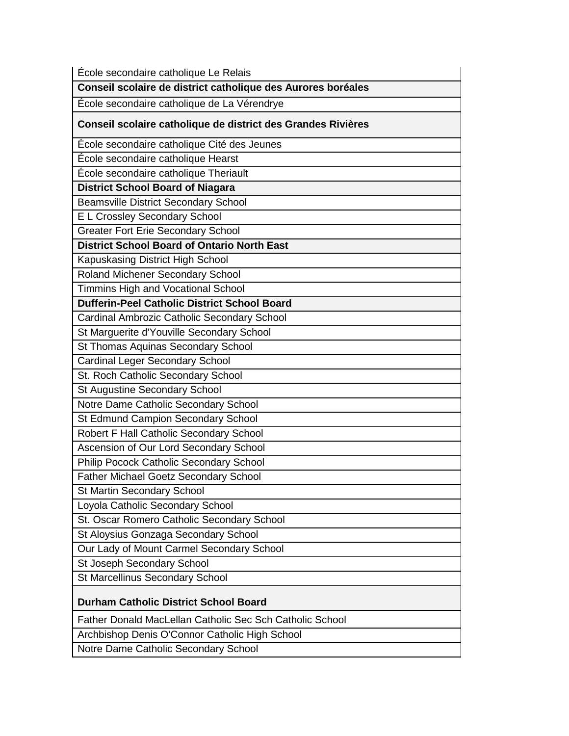| École secondaire catholique Le Relais                        |
|--------------------------------------------------------------|
| Conseil scolaire de district catholique des Aurores boréales |
| École secondaire catholique de La Vérendrye                  |
| Conseil scolaire catholique de district des Grandes Rivières |
| École secondaire catholique Cité des Jeunes                  |
| École secondaire catholique Hearst                           |
| École secondaire catholique Theriault                        |
| <b>District School Board of Niagara</b>                      |
| <b>Beamsville District Secondary School</b>                  |
| E L Crossley Secondary School                                |
| <b>Greater Fort Erie Secondary School</b>                    |
| <b>District School Board of Ontario North East</b>           |
| Kapuskasing District High School                             |
| Roland Michener Secondary School                             |
| Timmins High and Vocational School                           |
| <b>Dufferin-Peel Catholic District School Board</b>          |
| Cardinal Ambrozic Catholic Secondary School                  |
| St Marguerite d'Youville Secondary School                    |
| St Thomas Aquinas Secondary School                           |
| <b>Cardinal Leger Secondary School</b>                       |
| St. Roch Catholic Secondary School                           |
| St Augustine Secondary School                                |
| Notre Dame Catholic Secondary School                         |
| St Edmund Campion Secondary School                           |
| Robert F Hall Catholic Secondary School                      |
| Ascension of Our Lord Secondary School                       |
| Philip Pocock Catholic Secondary School                      |
| Father Michael Goetz Secondary School                        |
| St Martin Secondary School                                   |
| Loyola Catholic Secondary School                             |
| St. Oscar Romero Catholic Secondary School                   |
| St Aloysius Gonzaga Secondary School                         |
| Our Lady of Mount Carmel Secondary School                    |
| St Joseph Secondary School                                   |
| <b>St Marcellinus Secondary School</b>                       |
| <b>Durham Catholic District School Board</b>                 |
| Father Donald MacLellan Catholic Sec Sch Catholic School     |
| Archbishop Denis O'Connor Catholic High School               |
| Notre Dame Catholic Secondary School                         |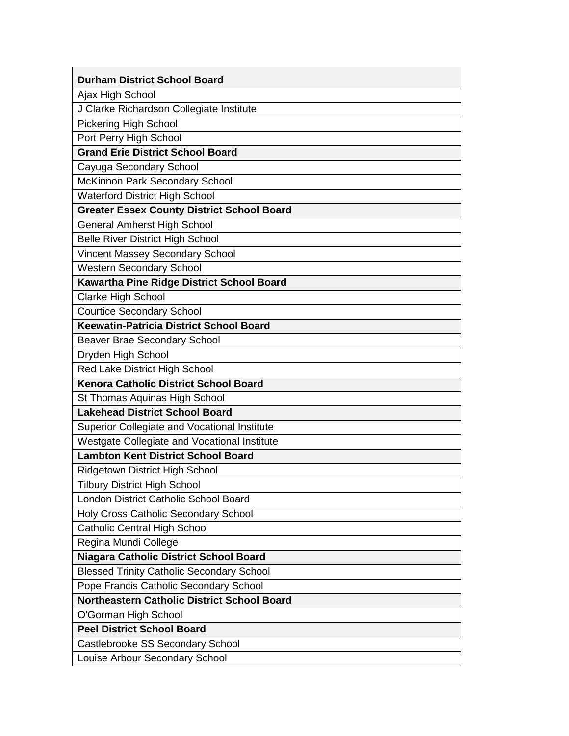| <b>Durham District School Board</b>                |
|----------------------------------------------------|
| Ajax High School                                   |
| J Clarke Richardson Collegiate Institute           |
| <b>Pickering High School</b>                       |
| Port Perry High School                             |
| <b>Grand Erie District School Board</b>            |
| Cayuga Secondary School                            |
| McKinnon Park Secondary School                     |
| <b>Waterford District High School</b>              |
| <b>Greater Essex County District School Board</b>  |
| <b>General Amherst High School</b>                 |
| <b>Belle River District High School</b>            |
| <b>Vincent Massey Secondary School</b>             |
| <b>Western Secondary School</b>                    |
| Kawartha Pine Ridge District School Board          |
| Clarke High School                                 |
| <b>Courtice Secondary School</b>                   |
| <b>Keewatin-Patricia District School Board</b>     |
| Beaver Brae Secondary School                       |
| Dryden High School                                 |
| Red Lake District High School                      |
| Kenora Catholic District School Board              |
| St Thomas Aquinas High School                      |
| <b>Lakehead District School Board</b>              |
| Superior Collegiate and Vocational Institute       |
| Westgate Collegiate and Vocational Institute       |
| <b>Lambton Kent District School Board</b>          |
| Ridgetown District High School                     |
| <b>Tilbury District High School</b>                |
| London District Catholic School Board              |
| Holy Cross Catholic Secondary School               |
| <b>Catholic Central High School</b>                |
| Regina Mundi College                               |
| <b>Niagara Catholic District School Board</b>      |
| <b>Blessed Trinity Catholic Secondary School</b>   |
| Pope Francis Catholic Secondary School             |
| <b>Northeastern Catholic District School Board</b> |
| O'Gorman High School                               |
| <b>Peel District School Board</b>                  |
| Castlebrooke SS Secondary School                   |
| Louise Arbour Secondary School                     |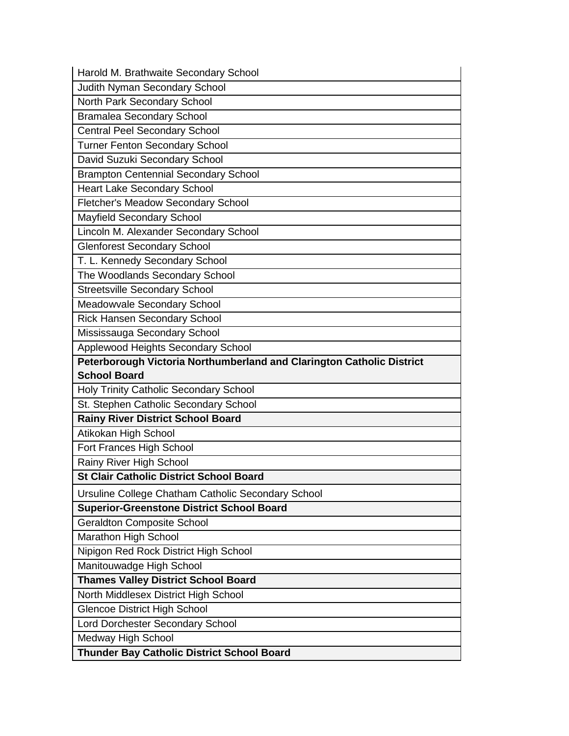| Harold M. Brathwaite Secondary School                                 |
|-----------------------------------------------------------------------|
| Judith Nyman Secondary School                                         |
| North Park Secondary School                                           |
| <b>Bramalea Secondary School</b>                                      |
| <b>Central Peel Secondary School</b>                                  |
| <b>Turner Fenton Secondary School</b>                                 |
| David Suzuki Secondary School                                         |
| <b>Brampton Centennial Secondary School</b>                           |
| <b>Heart Lake Secondary School</b>                                    |
| Fletcher's Meadow Secondary School                                    |
| <b>Mayfield Secondary School</b>                                      |
| Lincoln M. Alexander Secondary School                                 |
| <b>Glenforest Secondary School</b>                                    |
| T. L. Kennedy Secondary School                                        |
| The Woodlands Secondary School                                        |
| <b>Streetsville Secondary School</b>                                  |
| Meadowvale Secondary School                                           |
| Rick Hansen Secondary School                                          |
| Mississauga Secondary School                                          |
| Applewood Heights Secondary School                                    |
| Peterborough Victoria Northumberland and Clarington Catholic District |
|                                                                       |
| <b>School Board</b>                                                   |
| Holy Trinity Catholic Secondary School                                |
| St. Stephen Catholic Secondary School                                 |
| <b>Rainy River District School Board</b>                              |
| Atikokan High School                                                  |
| Fort Frances High School                                              |
| Rainy River High School                                               |
| <b>St Clair Catholic District School Board</b>                        |
| Ursuline College Chatham Catholic Secondary School                    |
| <b>Superior-Greenstone District School Board</b>                      |
| <b>Geraldton Composite School</b>                                     |
| Marathon High School                                                  |
| Nipigon Red Rock District High School                                 |
| Manitouwadge High School                                              |
| <b>Thames Valley District School Board</b>                            |
| North Middlesex District High School                                  |
| <b>Glencoe District High School</b>                                   |
| Lord Dorchester Secondary School                                      |
| Medway High School                                                    |